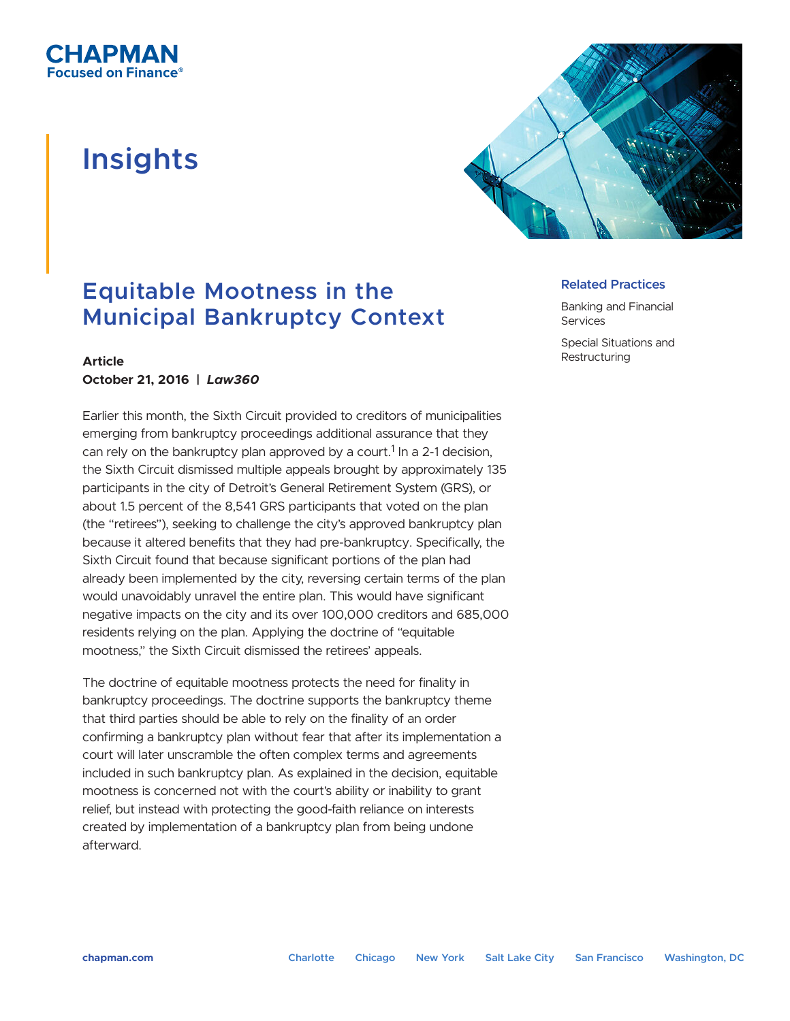# **Insights**



## **Equitable Mootness in the Municipal Bankruptcy Context**

### **Article October 21, 2016 |** *Law360*

Earlier this month, the Sixth Circuit provided to creditors of municipalities emerging from bankruptcy proceedings additional assurance that they can rely on the bankruptcy plan approved by a court.<sup>1</sup> In a 2-1 decision, the Sixth Circuit dismissed multiple appeals brought by approximately 135 participants in the city of Detroit's General Retirement System (GRS), or about 1.5 percent of the 8,541 GRS participants that voted on the plan (the "retirees"), seeking to challenge the city's approved bankruptcy plan because it altered benefits that they had pre-bankruptcy. Specifically, the Sixth Circuit found that because significant portions of the plan had already been implemented by the city, reversing certain terms of the plan would unavoidably unravel the entire plan. This would have significant negative impacts on the city and its over 100,000 creditors and 685,000 residents relying on the plan. Applying the doctrine of "equitable mootness," the Sixth Circuit dismissed the retirees' appeals.

The doctrine of equitable mootness protects the need for finality in bankruptcy proceedings. The doctrine supports the bankruptcy theme that third parties should be able to rely on the finality of an order confirming a bankruptcy plan without fear that after its implementation a court will later unscramble the often complex terms and agreements included in such bankruptcy plan. As explained in the decision, equitable mootness is concerned not with the court's ability or inability to grant relief, but instead with protecting the good-faith reliance on interests created by implementation of a bankruptcy plan from being undone afterward.

#### **Related Practices**

Banking and Financial **Services** 

Special Situations and **Restructuring**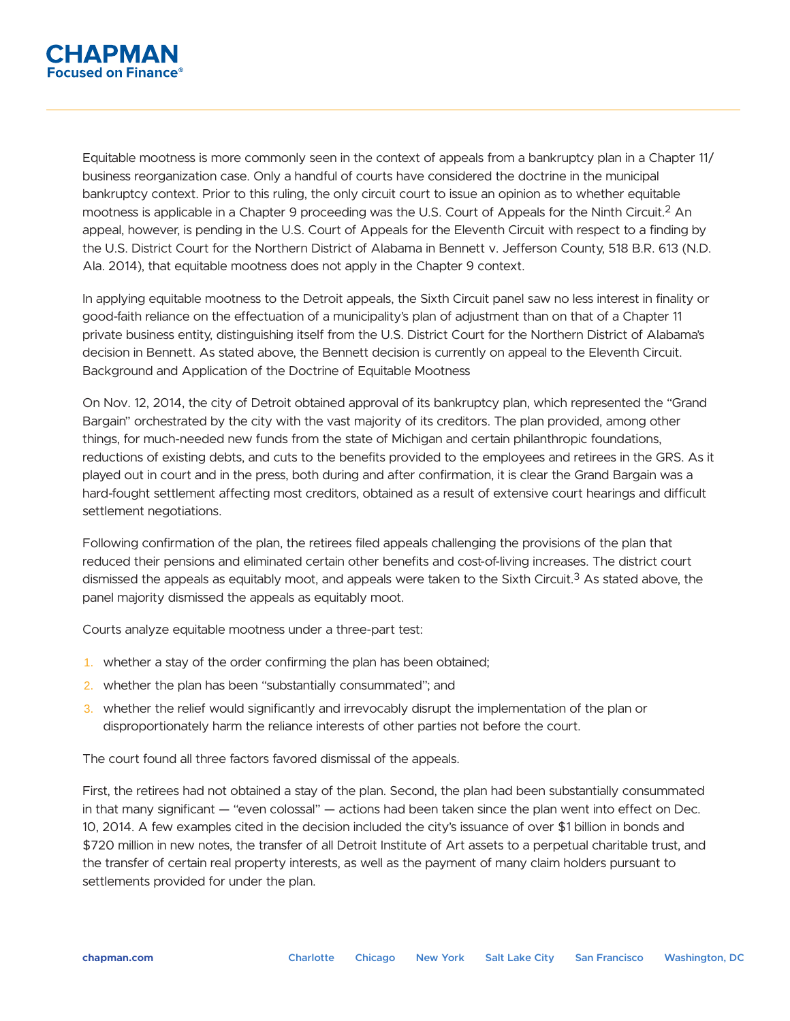

Equitable mootness is more commonly seen in the context of appeals from a bankruptcy plan in a Chapter 11/ business reorganization case. Only a handful of courts have considered the doctrine in the municipal bankruptcy context. Prior to this ruling, the only circuit court to issue an opinion as to whether equitable mootness is applicable in a Chapter 9 proceeding was the U.S. Court of Appeals for the Ninth Circuit.2 An appeal, however, is pending in the U.S. Court of Appeals for the Eleventh Circuit with respect to a finding by the U.S. District Court for the Northern District of Alabama in Bennett v. Jefferson County, 518 B.R. 613 (N.D. Ala. 2014), that equitable mootness does not apply in the Chapter 9 context.

In applying equitable mootness to the Detroit appeals, the Sixth Circuit panel saw no less interest in finality or good-faith reliance on the effectuation of a municipality's plan of adjustment than on that of a Chapter 11 private business entity, distinguishing itself from the U.S. District Court for the Northern District of Alabama's decision in Bennett. As stated above, the Bennett decision is currently on appeal to the Eleventh Circuit. Background and Application of the Doctrine of Equitable Mootness

On Nov. 12, 2014, the city of Detroit obtained approval of its bankruptcy plan, which represented the "Grand Bargain" orchestrated by the city with the vast majority of its creditors. The plan provided, among other things, for much-needed new funds from the state of Michigan and certain philanthropic foundations, reductions of existing debts, and cuts to the benefits provided to the employees and retirees in the GRS. As it played out in court and in the press, both during and after confirmation, it is clear the Grand Bargain was a hard-fought settlement affecting most creditors, obtained as a result of extensive court hearings and difficult settlement negotiations.

Following confirmation of the plan, the retirees filed appeals challenging the provisions of the plan that reduced their pensions and eliminated certain other benefits and cost-of-living increases. The district court dismissed the appeals as equitably moot, and appeals were taken to the Sixth Circuit.<sup>3</sup> As stated above, the panel majority dismissed the appeals as equitably moot.

Courts analyze equitable mootness under a three-part test:

- 1. whether a stay of the order confirming the plan has been obtained;
- 2. whether the plan has been "substantially consummated"; and
- 3. whether the relief would significantly and irrevocably disrupt the implementation of the plan or disproportionately harm the reliance interests of other parties not before the court.

The court found all three factors favored dismissal of the appeals.

First, the retirees had not obtained a stay of the plan. Second, the plan had been substantially consummated in that many significant — "even colossal" — actions had been taken since the plan went into effect on Dec. 10, 2014. A few examples cited in the decision included the city's issuance of over \$1 billion in bonds and \$720 million in new notes, the transfer of all Detroit Institute of Art assets to a perpetual charitable trust, and the transfer of certain real property interests, as well as the payment of many claim holders pursuant to settlements provided for under the plan.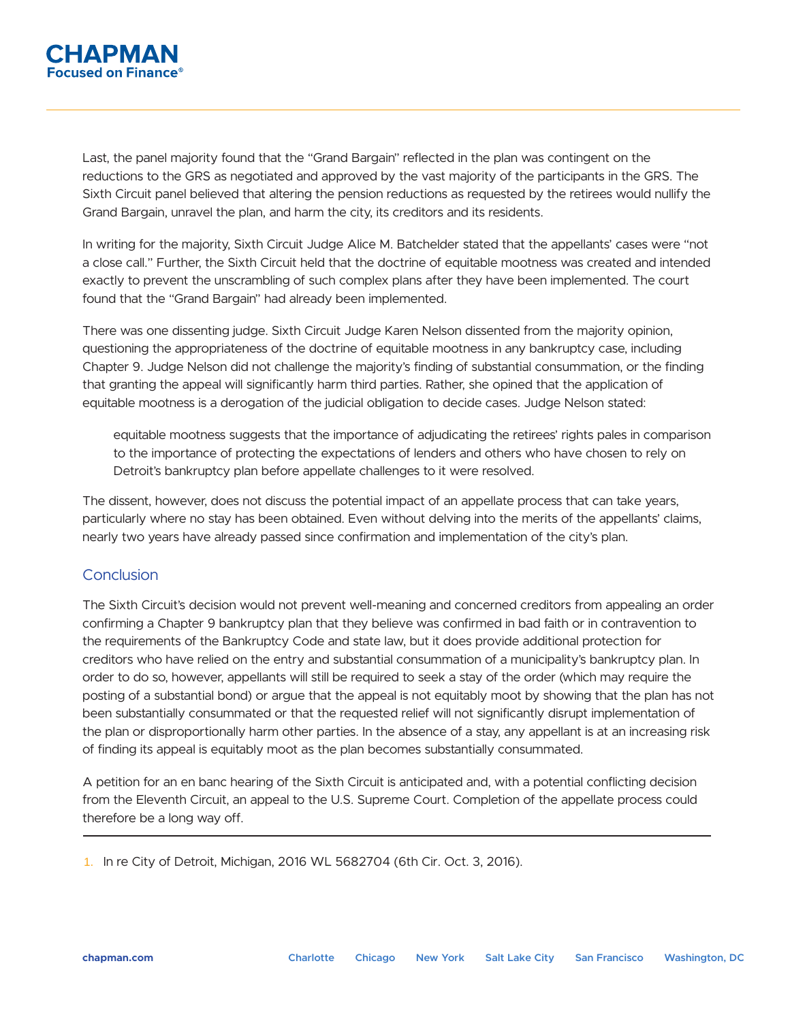

Last, the panel majority found that the "Grand Bargain" reflected in the plan was contingent on the reductions to the GRS as negotiated and approved by the vast majority of the participants in the GRS. The Sixth Circuit panel believed that altering the pension reductions as requested by the retirees would nullify the Grand Bargain, unravel the plan, and harm the city, its creditors and its residents.

In writing for the majority, Sixth Circuit Judge Alice M. Batchelder stated that the appellants' cases were "not a close call." Further, the Sixth Circuit held that the doctrine of equitable mootness was created and intended exactly to prevent the unscrambling of such complex plans after they have been implemented. The court found that the "Grand Bargain" had already been implemented.

There was one dissenting judge. Sixth Circuit Judge Karen Nelson dissented from the majority opinion, questioning the appropriateness of the doctrine of equitable mootness in any bankruptcy case, including Chapter 9. Judge Nelson did not challenge the majority's finding of substantial consummation, or the finding that granting the appeal will significantly harm third parties. Rather, she opined that the application of equitable mootness is a derogation of the judicial obligation to decide cases. Judge Nelson stated:

equitable mootness suggests that the importance of adjudicating the retirees' rights pales in comparison to the importance of protecting the expectations of lenders and others who have chosen to rely on Detroit's bankruptcy plan before appellate challenges to it were resolved.

The dissent, however, does not discuss the potential impact of an appellate process that can take years, particularly where no stay has been obtained. Even without delving into the merits of the appellants' claims, nearly two years have already passed since confirmation and implementation of the city's plan.

#### **Conclusion**

The Sixth Circuit's decision would not prevent well-meaning and concerned creditors from appealing an order confirming a Chapter 9 bankruptcy plan that they believe was confirmed in bad faith or in contravention to the requirements of the Bankruptcy Code and state law, but it does provide additional protection for creditors who have relied on the entry and substantial consummation of a municipality's bankruptcy plan. In order to do so, however, appellants will still be required to seek a stay of the order (which may require the posting of a substantial bond) or argue that the appeal is not equitably moot by showing that the plan has not been substantially consummated or that the requested relief will not significantly disrupt implementation of the plan or disproportionally harm other parties. In the absence of a stay, any appellant is at an increasing risk of finding its appeal is equitably moot as the plan becomes substantially consummated.

A petition for an en banc hearing of the Sixth Circuit is anticipated and, with a potential conflicting decision from the Eleventh Circuit, an appeal to the U.S. Supreme Court. Completion of the appellate process could therefore be a long way off. L

1. In re City of Detroit, Michigan, 2016 WL 5682704 (6th Cir. Oct. 3, 2016).